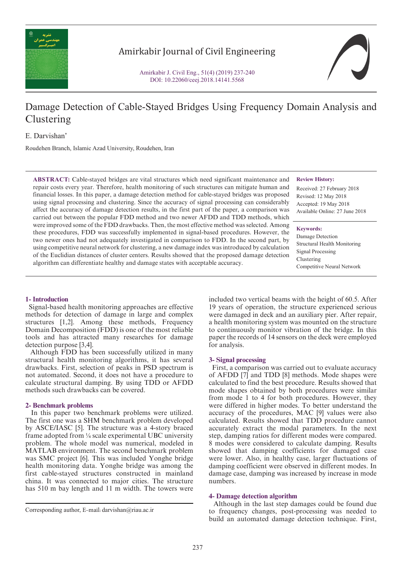

Amirkabir Journal of Civil Engineering

Amirkabir J. Civil Eng., 51(4) (2019) 237-240 DOI: 10.22060/ceej.2018.14141.5568



# Damage Detection of Cable-Stayed Bridges Using Frequency Domain Analysis and Clustering

E. Darvishan\*

Roudehen Branch, Islamic Azad University, Roudehen, Iran

**ABSTRACT:** Cable-stayed bridges are vital structures which need significant maintenance and repair costs every year. Therefore, health monitoring of such structures can mitigate human and financial losses. In this paper, a damage detection method for cable-stayed bridges was proposed using signal processing and clustering. Since the accuracy of signal processing can considerably affect the accuracy of damage detection results, in the first part of the paper, a comparison was carried out between the popular FDD method and two newer AFDD and TDD methods, which were improved some of the FDD drawbacks. Then, the most effective method was selected. Among these procedures, FDD was successfully implemented in signal-based procedures. However, the two newer ones had not adequately investigated in comparison to FDD. In the second part, by using competitive neural network for clustering, a new damage index was introduced by calculation of the Euclidian distances of cluster centers. Results showed that the proposed damage detection algorithm can differentiate healthy and damage states with acceptable accuracy.

#### **Review History:**

Received: 27 February 2018 Revised: 12 May 2018 Accepted: 19 May 2018 Available Online: 27 June 2018

#### **Keywords:**

Damage Detection Structural Health Monitoring Signal Processing Clustering Competitive Neural Network

## **1- Introduction**

 Signal-based health monitoring approaches are effective methods for detection of damage in large and complex structures [1,2]. Among these methods, Frequency Domain Decomposition (FDD) is one of the most reliable tools and has attracted many researches for damage detection purpose [3,4].

 Although FDD has been successfully utilized in many structural health monitoring algorithms, it has several drawbacks. First, selection of peaks in PSD spectrum is not automated. Second, it does not have a procedure to calculate structural damping. By using TDD or AFDD methods such drawbacks can be covered.

#### **2- Benchmark problems**

 In this paper two benchmark problems were utilized. The first one was a SHM benchmark problem developed by ASCE/IASC [5]. The structure was a 4-story braced frame adopted from ¼ scale experimental UBC university problem. The whole model was numerical, modeled in MATLAB environment. The second benchmark problem was SMC project [6]. This was included Yonghe bridge health monitoring data. Yonghe bridge was among the first cable-stayed structures constructed in mainland china. It was connected to major cities. The structure has 510 m bay length and 11 m width. The towers were included two vertical beams with the height of 60.5. After 19 years of operation, the structure experienced serious were damaged in deck and an auxiliary pier. After repair, a health monitoring system was mounted on the structure to continuously monitor vibration of the bridge. In this paper the records of 14 sensors on the deck were employed for analysis.

#### **3- Signal processing**

 First, a comparison was carried out to evaluate accuracy of AFDD [7] and TDD [8] methods. Mode shapes were calculated to find the best procedure. Results showed that mode shapes obtained by both procedures were similar from mode 1 to 4 for both procedures. However, they were differed in higher modes. To better understand the accuracy of the procedures, MAC [9] values were also calculated. Results showed that TDD procedure cannot accurately extract the modal parameters. In the next step, damping ratios for different modes were compared. 8 modes were considered to calculate damping. Results showed that damping coefficients for damaged case were lower. Also, in healthy case, larger fluctuations of damping coefficient were observed in different modes. In damage case, damping was increased by increase in mode numbers.

#### **4- Damage detection algorithm**

 Although in the last step damages could be found due to frequency changes, post-processing was needed to build an automated damage detection technique. First,

Corresponding author, E-mail: darvishan@riau.ac.ir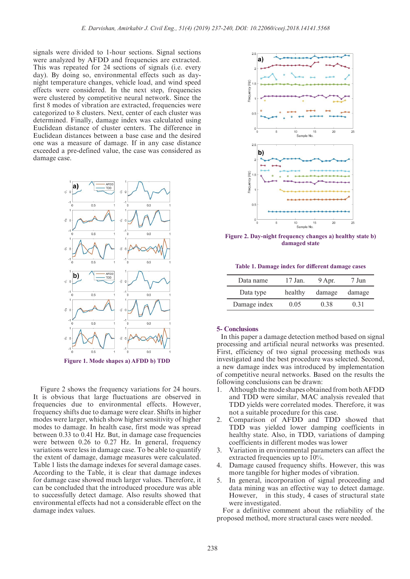signals were divided to 1-hour sections. Signal sections were analyzed by AFDD and frequencies are extracted. This was repeated for 24 sections of signals (i.e. every day). By doing so, environmental effects such as daynight temperature changes, vehicle load, and wind speed effects were considered. In the next step, frequencies were clustered by competitive neural network. Since the first 8 modes of vibration are extracted, frequencies were categorized to 8 clusters. Next, center of each cluster was determined. Finally, damage index was calculated using Euclidean distance of cluster centers. The difference in Euclidean distances between a base case and the desired one was a measure of damage. If in any case distance exceeded a pre-defined value, the case was considered as damage case.



**Figure 1. Mode shapes a) AFDD b) TDD**

 Figure 2 shows the frequency variations for 24 hours. It is obvious that large fluctuations are observed in frequencies due to environmental effects. However, frequency shifts due to damage were clear. Shifts in higher modes were larger, which show higher sensitivity of higher modes to damage. In health case, first mode was spread between 0.33 to 0.41 Hz. But, in damage case frequencies were between 0.26 to 0.27 Hz. In general, frequency variations were less in damage case. To be able to quantify the extent of damage, damage measures were calculated. Table 1 lists the damage indexes for several damage cases. According to the Table, it is clear that damage indexes for damage case showed much larger values. Therefore, it can be concluded that the introduced procedure was able to successfully detect damage. Also results showed that environmental effects had not a considerable effect on the damage index values.



**Figure 2. Day-night frequency changes a) healthy state b) damaged state**

**Table 1. Damage index for different damage cases**

| Data name    | 17 Jan. | 9 Apr. | Jun    |
|--------------|---------|--------|--------|
| Data type    | healthy | damage | damage |
| Damage index | 0.05    | 0.38   | 0.31   |

## **5- Conclusions**

 In this paper a damage detection method based on signal processing and artificial neural networks was presented. First, efficiency of two signal processing methods was investigated and the best procedure was selected. Second, a new damage index was introduced by implementation of competitive neural networks. Based on the results the following conclusions can be drawn:

- 1. Although the mode shapes obtained from both AFDD and TDD were similar, MAC analysis revealed that TDD yields were correlated modes. Therefore, it was not a suitable procedure for this case.
- 2. Comparison of AFDD and TDD showed that TDD was yielded lower damping coefficients in healthy state. Also, in TDD, variations of damping coefficients in different modes was lower
- 3. Variation in environmental parameters can affect the extracted frequencies up to 10%.
- 4. Damage caused frequency shifts. However, this was more tangible for higher modes of vibration.
- 5. In general, incorporation of signal proceeding and data mining was an effective way to detect damage. However, in this study, 4 cases of structural state were investigated.

 For a definitive comment about the reliability of the proposed method, more structural cases were needed.